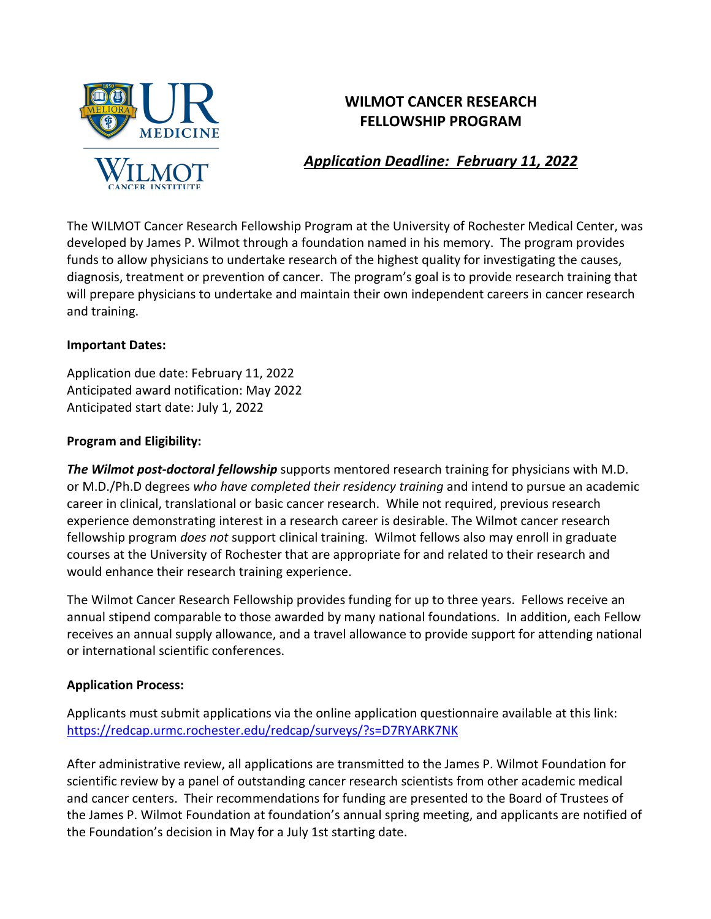

# **WILMOT CANCER RESEARCH FELLOWSHIP PROGRAM**

# *Application Deadline: February 11, 2022*

The WILMOT Cancer Research Fellowship Program at the University of Rochester Medical Center, was developed by James P. Wilmot through a foundation named in his memory. The program provides funds to allow physicians to undertake research of the highest quality for investigating the causes, diagnosis, treatment or prevention of cancer. The program's goal is to provide research training that will prepare physicians to undertake and maintain their own independent careers in cancer research and training.

### **Important Dates:**

Application due date: February 11, 2022 Anticipated award notification: May 2022 Anticipated start date: July 1, 2022

## **Program and Eligibility:**

*The Wilmot post-doctoral fellowship* supports mentored research training for physicians with M.D. or M.D./Ph.D degrees *who have completed their residency training* and intend to pursue an academic career in clinical, translational or basic cancer research. While not required, previous research experience demonstrating interest in a research career is desirable. The Wilmot cancer research fellowship program *does not* support clinical training. Wilmot fellows also may enroll in graduate courses at the University of Rochester that are appropriate for and related to their research and would enhance their research training experience.

The Wilmot Cancer Research Fellowship provides funding for up to three years. Fellows receive an annual stipend comparable to those awarded by many national foundations. In addition, each Fellow receives an annual supply allowance, and a travel allowance to provide support for attending national or international scientific conferences.

## **Application Process:**

Applicants must submit applications via the online application questionnaire available at this link: <https://redcap.urmc.rochester.edu/redcap/surveys/?s=D7RYARK7NK>

After administrative review, all applications are transmitted to the James P. Wilmot Foundation for scientific review by a panel of outstanding cancer research scientists from other academic medical and cancer centers. Their recommendations for funding are presented to the Board of Trustees of the James P. Wilmot Foundation at foundation's annual spring meeting, and applicants are notified of the Foundation's decision in May for a July 1st starting date.